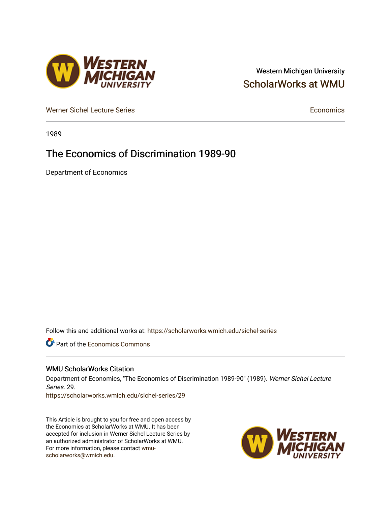## Western Michigan University [ScholarWorks at WMU](https://scholarworks.wmich.edu/)

[Werner Sichel Lecture Series](https://scholarworks.wmich.edu/sichel-series) **Economics** [Economics](https://scholarworks.wmich.edu/economics) **Economics** 

1989

# The Economics of Discrimination 1989-90

Department of Economics

Follow this and additional works at: [https://scholarworks.wmich.edu/sichel-series](https://scholarworks.wmich.edu/sichel-series?utm_source=scholarworks.wmich.edu%2Fsichel-series%2F29&utm_medium=PDF&utm_campaign=PDFCoverPages) 

**C** Part of the [Economics Commons](http://network.bepress.com/hgg/discipline/340?utm_source=scholarworks.wmich.edu%2Fsichel-series%2F29&utm_medium=PDF&utm_campaign=PDFCoverPages)

### WMU ScholarWorks Citation

Department of Economics, "The Economics of Discrimination 1989-90" (1989). Werner Sichel Lecture Series. 29.

[https://scholarworks.wmich.edu/sichel-series/29](https://scholarworks.wmich.edu/sichel-series/29?utm_source=scholarworks.wmich.edu%2Fsichel-series%2F29&utm_medium=PDF&utm_campaign=PDFCoverPages)

This Article is brought to you for free and open access by the Economics at ScholarWorks at WMU. It has been accepted for inclusion in Werner Sichel Lecture Series by an authorized administrator of ScholarWorks at WMU. For more information, please contact [wmu](mailto:wmu-scholarworks@wmich.edu)[scholarworks@wmich.edu.](mailto:wmu-scholarworks@wmich.edu)



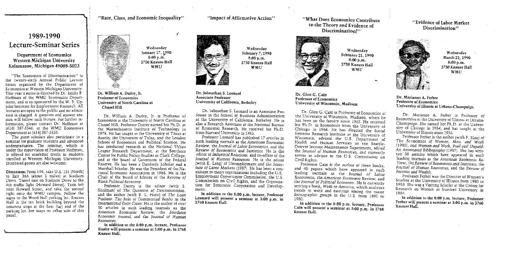#### $''$ Race, Class, and Economic Inequality"

"Impact of Affirmative Action"

## 1989-1990 Lecture-Seminar Series

#### Departinent of Economics Western Michigan University Kalamazoo, Michigan 49008-5023

"The Economics of Discrimination" is the twenty-sixth Annual Public Lecture Series organized by the Department of Economics ar Western Michigan University. This year's series is directed by Dr. Emily P Hoffman of the WMU Economics Department and is co-sponsored by the W. E. Upiohn Institute for Employment Research, All lectures are open to the public and no admission is charged. A question and answer session will follow each lecture. For further information, please contact Dr. Hoffman at i6161 387-5546, or the WMU Economics Denartment at (616) 387-5535.

·The *guest* scholars also participate in a seminar for graduate students and advanced undergraduates. The seminar, which is under the supervision of Professor Hoffman, is offered for academic credit to students enrolled at Western Michigan University. interested guests are also welcome

Directions: From 1-94, take U.S. 131 INorthj *vo* Exit 36A Jabout 2 miles! at Stadium Drive. Travel east on Stadium Drive to the 4th traffic light fHoward Street). Turn left onto Howard Street, and take the second right onto the WMU campus. Follow the signs to the Wood Hall parking lot. Knauss Hall is the tan brick building beyond the concrete steps at the East *[far]* end of the parking Jot. See maps on other side of this panel



Wednesday January 17, 1990 S:OOp.m. 3750 Knauss Hall WMU

(

Dr. William A. Darity, It. Professor of Economics University of North Carolina at

Dr. William A. Darity, Ir. is Professor of Economics at the University of North Carolina at Chapel Hill. Professor Darity earned his Ph.D. at the Massachusetts Institute of Technology in 1978. He has taught at the University of Texas at Austin, the University of Tulsa, and the London School of Economics and Political Science. He has conducted research at the National Urban League Research Department, at the Southern Center for Public Polley Studies at Clark College, and at the Board of Governors of the Federal Reserve. He has been a Danforth Scholar and a Marshall Scboiar. He was the President of the National Economic Association in 1986. He is the Chair of the Board *o{* Editors of the *Review of Black. Political Economy.* 

Professor Darity is the editor (with S. Shulman] of *The Question of Discrimination*, and the author (with B. L. Horn) of *The Loan Pushers: The Role of Commercial Banks in the Jrnemational Debt Crisis.* He is the author of over 50 articles in such leading journals as the *American* Economic Review, the *Southern Econom.ic foumal,* and the *loumal of Human* 

In addition to the 8:00 p,m. lecture, Professor Darity will present a seminar at 3:00 p.m. in 3760 Knauss Hall.

Wednesday February 7, 1990 8:00 p.m. 3750 Knauss Hall WMU

#### Dr. Johnathan S. Leonard Associate Professor University of California, Berkeley

Dr. Johnathan S. Leonard is an Associate Professor in the School of Business Administration at the University of California, Berkeiey. He is also a Research Associate at the National Bureau of Economic Research. He received his Ph:D. from Harvard University in 1983.

Professor Leonard bas published 17 articles in such leading journals as the *American Economic Review,* the *foumal of Labor Economics,* and the *Rev.iew of Economics* and *Statistics.* He *is* the editor of *industrial Relations,* and co-editor of the *Journal of Human Resources.* He is the editor (with K. Lang) of *Unemployment and the Structure of Labor Markets* 11987). He has been a consultant to many organizations including the U .S, Employment Opportunity Commission, the U.S. Commission on Civil Rights, and the Organization for Economic Cooperation and Develop.- ment.

In addition to the 8:00 p.m. lecture, Professor Leonard will present a seminar at  $3:00$  p.m. in  $3760$  Knauss Hall.

#### ''What Does Economics Contribute to the Theory and Evidence of Discrimination?"



Wednesday February 21, 1990 8:00p.rn. 3750 Knauss Hall WMU

Dr. Glen G. Cain Professor of Economics University of Wisconsin, Madison

Dr. Glen G. Cain is Professor of Economics at the University of Wisconsin, Madison, where he has been on the faculty since 1963. He received his Ph.D. in Economics from the University of Chicago in 1964. He has directed the Social Systems Research Institute at the University of Wisconsin, advised the U.S. Department of Health and Human Services on the Seattle-Denver Income Maintenance Experiment, edited the *Journal of Human Resources,* and cunently serves as advisor to the U.S. Commission on

Professor Cain is the author of three books, and 40 papers which have appeared in such leading journals as the *Journal of Labor Economics,* the *Amen'can Economic Review,* and the *Journal of Political Economy*. He is currently writing *a* hook, *Work in America,* which analyzes trends in work and earnings among the maior demographic groups in thc U.S. from 1890 to 1980.

Jn addition to the 8:00 p.m. lecture, Professor Cain will present a seminar at 3:00 p.m. in 3760<br>Knauss Hall.

#### ''Evidence of Labor Market Discrimination''



Wednesday March 21, 1990 8:00p.m. 3750 Knauss Hall WMU

#### Dr. Marianne A. Ferber Professor of Economics University of Illinoio at Urbana-Champaign

Dr. Marianne A. Ferber is Professor of Economics at the University of Illinois at Urbana-Champaign. She earned her Ph.D. at the University of Chicago in 1954, and has taught at the University of lllmois since 1956.

Professor Ferber is the author (with F. Blau) of *Tbe Economics of* Women, Men, *and Work*  119861. and *Women and Work Paid and Unpaid:*  An Annotated Bibliography (1987). She has written 38 articles which have appeared in such leading journals as the *American Economic Re-View,* the *Review of Economics and Statistics,* the *foumaJ of Human Resources,* and the *Review of Income and Wealth.* 

Professor Ferber was the Director of Women's Studies at the University o( Illmois from 1980 to 1983. She was a Visiting Schoiar at the Center for Research on Women at Stanford University in 198~.

In addition to the 8:00 p.m. lecture, Professor Ferber will present a seminar at 3:00 p.m. in 3760 Knauss Hall.